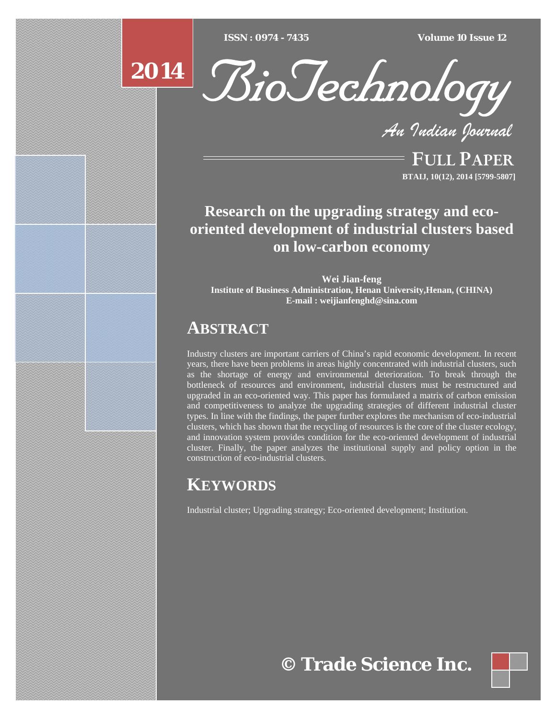$ISSN : 0974 - 7435$ 

*ISSN : 0974 - 7435 Volume 10 Issue 12*





*An Indian Journal*

FULL PAPER **BTAIJ, 10(12), 2014 [5799-5807]**

**Research on the upgrading strategy and ecooriented development of industrial clusters based on low-carbon economy** 

**Wei Jian-feng Institute of Business Administration, Henan University,Henan, (CHINA) E-mail : weijianfenghd@sina.com**

## **ABSTRACT**

Industry clusters are important carriers of China's rapid economic development. In recent years, there have been problems in areas highly concentrated with industrial clusters, such as the shortage of energy and environmental deterioration. To break through the bottleneck of resources and environment, industrial clusters must be restructured and upgraded in an eco-oriented way. This paper has formulated a matrix of carbon emission and competitiveness to analyze the upgrading strategies of different industrial cluster types. In line with the findings, the paper further explores the mechanism of eco-industrial clusters, which has shown that the recycling of resources is the core of the cluster ecology, and innovation system provides condition for the eco-oriented development of industrial cluster. Finally, the paper analyzes the institutional supply and policy option in the construction of eco-industrial clusters.

# **KEYWORDS**

Industrial cluster; Upgrading strategy; Eco-oriented development; Institution.

**© Trade Science Inc.**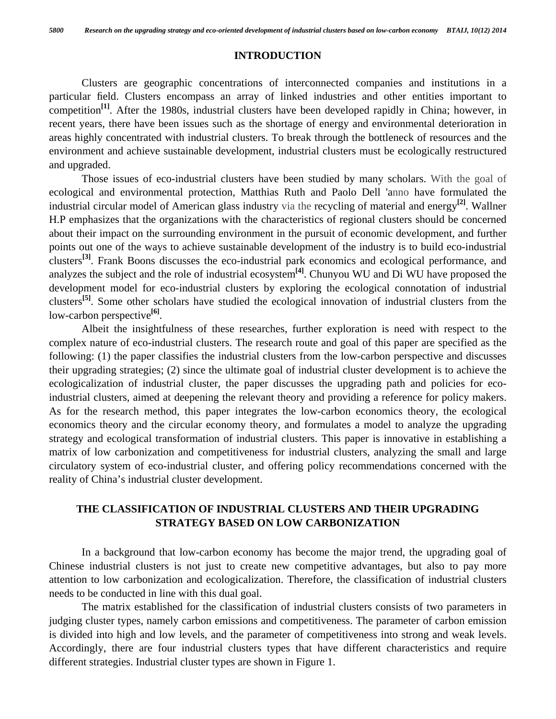#### **INTRODUCTION**

 Clusters are geographic concentrations of interconnected companies and institutions in a particular field. Clusters encompass an array of linked industries and other entities important to competition<sup>[1]</sup>. After the 1980s, industrial clusters have been developed rapidly in China; however, in recent years, there have been issues such as the shortage of energy and environmental deterioration in areas highly concentrated with industrial clusters. To break through the bottleneck of resources and the environment and achieve sustainable development, industrial clusters must be ecologically restructured and upgraded.

 Those issues of eco-industrial clusters have been studied by many scholars. With the goal of ecological and environmental protection, Matthias Ruth and Paolo Dell 'anno have formulated the industrial circular model of American glass industry via the recycling of material and energy**[2]**. Wallner H.P emphasizes that the organizations with the characteristics of regional clusters should be concerned about their impact on the surrounding environment in the pursuit of economic development, and further points out one of the ways to achieve sustainable development of the industry is to build eco-industrial clusters**[3]**. Frank Boons discusses the eco-industrial park economics and ecological performance, and analyzes the subject and the role of industrial ecosystem**[4]**. Chunyou WU and Di WU have proposed the development model for eco-industrial clusters by exploring the ecological connotation of industrial clusters**[5]**. Some other scholars have studied the ecological innovation of industrial clusters from the low-carbon perspective**[6]**.

 Albeit the insightfulness of these researches, further exploration is need with respect to the complex nature of eco-industrial clusters. The research route and goal of this paper are specified as the following: (1) the paper classifies the industrial clusters from the low-carbon perspective and discusses their upgrading strategies; (2) since the ultimate goal of industrial cluster development is to achieve the ecologicalization of industrial cluster, the paper discusses the upgrading path and policies for ecoindustrial clusters, aimed at deepening the relevant theory and providing a reference for policy makers. As for the research method, this paper integrates the low-carbon economics theory, the ecological economics theory and the circular economy theory, and formulates a model to analyze the upgrading strategy and ecological transformation of industrial clusters. This paper is innovative in establishing a matrix of low carbonization and competitiveness for industrial clusters, analyzing the small and large circulatory system of eco-industrial cluster, and offering policy recommendations concerned with the reality of China's industrial cluster development.

## **THE CLASSIFICATION OF INDUSTRIAL CLUSTERS AND THEIR UPGRADING STRATEGY BASED ON LOW CARBONIZATION**

 In a background that low-carbon economy has become the major trend, the upgrading goal of Chinese industrial clusters is not just to create new competitive advantages, but also to pay more attention to low carbonization and ecologicalization. Therefore, the classification of industrial clusters needs to be conducted in line with this dual goal.

 The matrix established for the classification of industrial clusters consists of two parameters in judging cluster types, namely carbon emissions and competitiveness. The parameter of carbon emission is divided into high and low levels, and the parameter of competitiveness into strong and weak levels. Accordingly, there are four industrial clusters types that have different characteristics and require different strategies. Industrial cluster types are shown in Figure 1.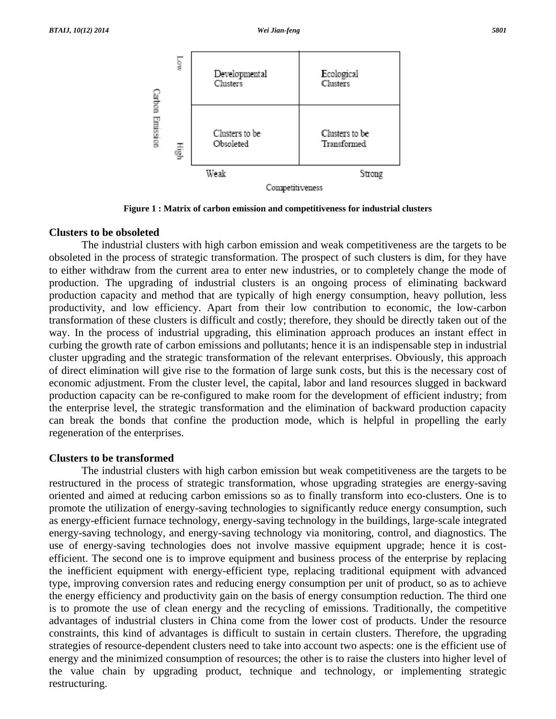

**Figure 1 : Matrix of carbon emission and competitiveness for industrial clusters** 

#### **Clusters to be obsoleted**

 The industrial clusters with high carbon emission and weak competitiveness are the targets to be obsoleted in the process of strategic transformation. The prospect of such clusters is dim, for they have to either withdraw from the current area to enter new industries, or to completely change the mode of production. The upgrading of industrial clusters is an ongoing process of eliminating backward production capacity and method that are typically of high energy consumption, heavy pollution, less productivity, and low efficiency. Apart from their low contribution to economic, the low-carbon transformation of these clusters is difficult and costly; therefore, they should be directly taken out of the way. In the process of industrial upgrading, this elimination approach produces an instant effect in curbing the growth rate of carbon emissions and pollutants; hence it is an indispensable step in industrial cluster upgrading and the strategic transformation of the relevant enterprises. Obviously, this approach of direct elimination will give rise to the formation of large sunk costs, but this is the necessary cost of economic adjustment. From the cluster level, the capital, labor and land resources slugged in backward production capacity can be re-configured to make room for the development of efficient industry; from the enterprise level, the strategic transformation and the elimination of backward production capacity can break the bonds that confine the production mode, which is helpful in propelling the early regeneration of the enterprises.

#### **Clusters to be transformed**

 The industrial clusters with high carbon emission but weak competitiveness are the targets to be restructured in the process of strategic transformation, whose upgrading strategies are energy-saving oriented and aimed at reducing carbon emissions so as to finally transform into eco-clusters. One is to promote the utilization of energy-saving technologies to significantly reduce energy consumption, such as energy-efficient furnace technology, energy-saving technology in the buildings, large-scale integrated energy-saving technology, and energy-saving technology via monitoring, control, and diagnostics. The use of energy-saving technologies does not involve massive equipment upgrade; hence it is costefficient. The second one is to improve equipment and business process of the enterprise by replacing the inefficient equipment with energy-efficient type, replacing traditional equipment with advanced type, improving conversion rates and reducing energy consumption per unit of product, so as to achieve the energy efficiency and productivity gain on the basis of energy consumption reduction. The third one is to promote the use of clean energy and the recycling of emissions. Traditionally, the competitive advantages of industrial clusters in China come from the lower cost of products. Under the resource constraints, this kind of advantages is difficult to sustain in certain clusters. Therefore, the upgrading strategies of resource-dependent clusters need to take into account two aspects: one is the efficient use of energy and the minimized consumption of resources; the other is to raise the clusters into higher level of the value chain by upgrading product, technique and technology, or implementing strategic restructuring.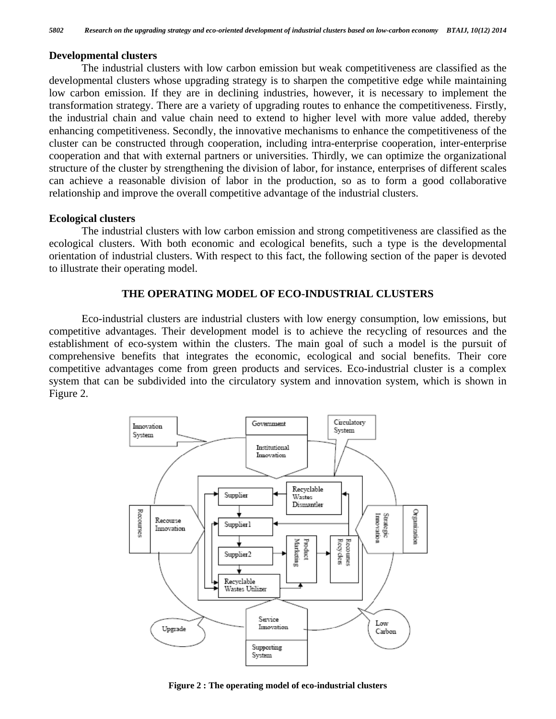#### **Developmental clusters**

 The industrial clusters with low carbon emission but weak competitiveness are classified as the developmental clusters whose upgrading strategy is to sharpen the competitive edge while maintaining low carbon emission. If they are in declining industries, however, it is necessary to implement the transformation strategy. There are a variety of upgrading routes to enhance the competitiveness. Firstly, the industrial chain and value chain need to extend to higher level with more value added, thereby enhancing competitiveness. Secondly, the innovative mechanisms to enhance the competitiveness of the cluster can be constructed through cooperation, including intra-enterprise cooperation, inter-enterprise cooperation and that with external partners or universities. Thirdly, we can optimize the organizational structure of the cluster by strengthening the division of labor, for instance, enterprises of different scales can achieve a reasonable division of labor in the production, so as to form a good collaborative relationship and improve the overall competitive advantage of the industrial clusters.

#### **Ecological clusters**

 The industrial clusters with low carbon emission and strong competitiveness are classified as the ecological clusters. With both economic and ecological benefits, such a type is the developmental orientation of industrial clusters. With respect to this fact, the following section of the paper is devoted to illustrate their operating model.

#### **THE OPERATING MODEL OF ECO-INDUSTRIAL CLUSTERS**

 Eco-industrial clusters are industrial clusters with low energy consumption, low emissions, but competitive advantages. Their development model is to achieve the recycling of resources and the establishment of eco-system within the clusters. The main goal of such a model is the pursuit of comprehensive benefits that integrates the economic, ecological and social benefits. Their core competitive advantages come from green products and services. Eco-industrial cluster is a complex system that can be subdivided into the circulatory system and innovation system, which is shown in Figure 2.



**Figure 2 : The operating model of eco-industrial clusters**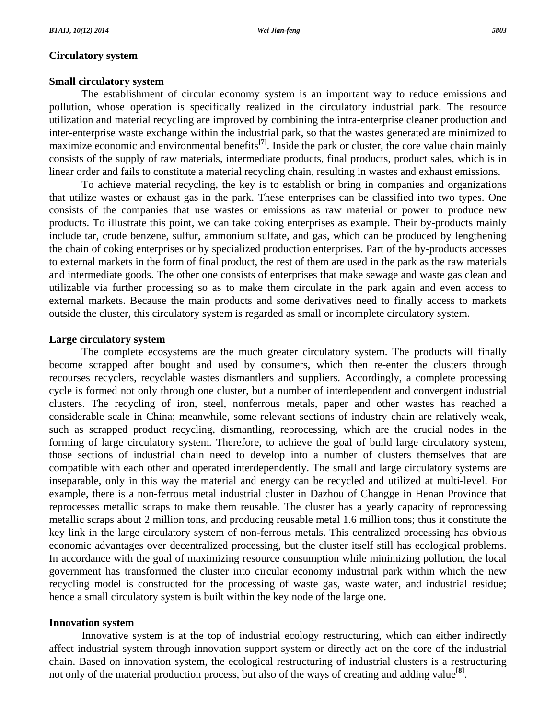## **Circulatory system**

## **Small circulatory system**

 The establishment of circular economy system is an important way to reduce emissions and pollution, whose operation is specifically realized in the circulatory industrial park. The resource utilization and material recycling are improved by combining the intra-enterprise cleaner production and inter-enterprise waste exchange within the industrial park, so that the wastes generated are minimized to maximize economic and environmental benefits**[7]**. Inside the park or cluster, the core value chain mainly consists of the supply of raw materials, intermediate products, final products, product sales, which is in linear order and fails to constitute a material recycling chain, resulting in wastes and exhaust emissions.

 To achieve material recycling, the key is to establish or bring in companies and organizations that utilize wastes or exhaust gas in the park. These enterprises can be classified into two types. One consists of the companies that use wastes or emissions as raw material or power to produce new products. To illustrate this point, we can take coking enterprises as example. Their by-products mainly include tar, crude benzene, sulfur, ammonium sulfate, and gas, which can be produced by lengthening the chain of coking enterprises or by specialized production enterprises. Part of the by-products accesses to external markets in the form of final product, the rest of them are used in the park as the raw materials and intermediate goods. The other one consists of enterprises that make sewage and waste gas clean and utilizable via further processing so as to make them circulate in the park again and even access to external markets. Because the main products and some derivatives need to finally access to markets outside the cluster, this circulatory system is regarded as small or incomplete circulatory system.

### **Large circulatory system**

 The complete ecosystems are the much greater circulatory system. The products will finally become scrapped after bought and used by consumers, which then re-enter the clusters through recourses recyclers, recyclable wastes dismantlers and suppliers. Accordingly, a complete processing cycle is formed not only through one cluster, but a number of interdependent and convergent industrial clusters. The recycling of iron, steel, nonferrous metals, paper and other wastes has reached a considerable scale in China; meanwhile, some relevant sections of industry chain are relatively weak, such as scrapped product recycling, dismantling, reprocessing, which are the crucial nodes in the forming of large circulatory system. Therefore, to achieve the goal of build large circulatory system, those sections of industrial chain need to develop into a number of clusters themselves that are compatible with each other and operated interdependently. The small and large circulatory systems are inseparable, only in this way the material and energy can be recycled and utilized at multi-level. For example, there is a non-ferrous metal industrial cluster in Dazhou of Changge in Henan Province that reprocesses metallic scraps to make them reusable. The cluster has a yearly capacity of reprocessing metallic scraps about 2 million tons, and producing reusable metal 1.6 million tons; thus it constitute the key link in the large circulatory system of non-ferrous metals. This centralized processing has obvious economic advantages over decentralized processing, but the cluster itself still has ecological problems. In accordance with the goal of maximizing resource consumption while minimizing pollution, the local government has transformed the cluster into circular economy industrial park within which the new recycling model is constructed for the processing of waste gas, waste water, and industrial residue; hence a small circulatory system is built within the key node of the large one.

## **Innovation system**

 Innovative system is at the top of industrial ecology restructuring, which can either indirectly affect industrial system through innovation support system or directly act on the core of the industrial chain. Based on innovation system, the ecological restructuring of industrial clusters is a restructuring not only of the material production process, but also of the ways of creating and adding value**[8]**.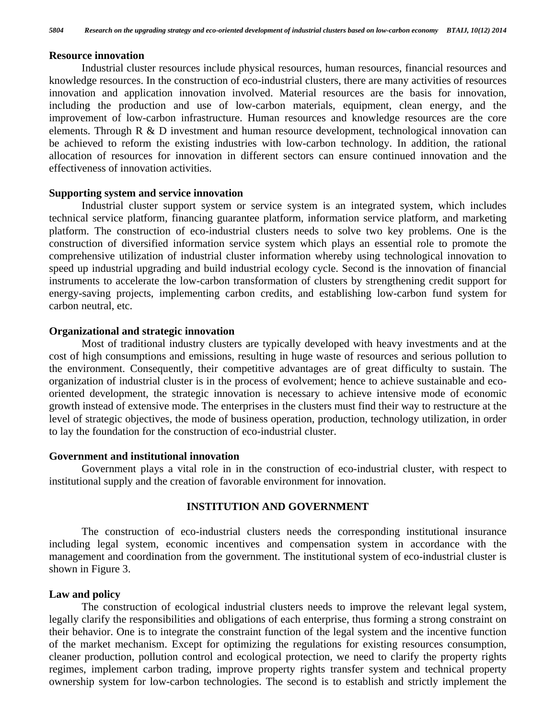#### **Resource innovation**

 Industrial cluster resources include physical resources, human resources, financial resources and knowledge resources. In the construction of eco-industrial clusters, there are many activities of resources innovation and application innovation involved. Material resources are the basis for innovation, including the production and use of low-carbon materials, equipment, clean energy, and the improvement of low-carbon infrastructure. Human resources and knowledge resources are the core elements. Through R & D investment and human resource development, technological innovation can be achieved to reform the existing industries with low-carbon technology. In addition, the rational allocation of resources for innovation in different sectors can ensure continued innovation and the effectiveness of innovation activities.

#### **Supporting system and service innovation**

 Industrial cluster support system or service system is an integrated system, which includes technical service platform, financing guarantee platform, information service platform, and marketing platform. The construction of eco-industrial clusters needs to solve two key problems. One is the construction of diversified information service system which plays an essential role to promote the comprehensive utilization of industrial cluster information whereby using technological innovation to speed up industrial upgrading and build industrial ecology cycle. Second is the innovation of financial instruments to accelerate the low-carbon transformation of clusters by strengthening credit support for energy-saving projects, implementing carbon credits, and establishing low-carbon fund system for carbon neutral, etc.

#### **Organizational and strategic innovation**

 Most of traditional industry clusters are typically developed with heavy investments and at the cost of high consumptions and emissions, resulting in huge waste of resources and serious pollution to the environment. Consequently, their competitive advantages are of great difficulty to sustain. The organization of industrial cluster is in the process of evolvement; hence to achieve sustainable and ecooriented development, the strategic innovation is necessary to achieve intensive mode of economic growth instead of extensive mode. The enterprises in the clusters must find their way to restructure at the level of strategic objectives, the mode of business operation, production, technology utilization, in order to lay the foundation for the construction of eco-industrial cluster.

#### **Government and institutional innovation**

 Government plays a vital role in in the construction of eco-industrial cluster, with respect to institutional supply and the creation of favorable environment for innovation.

#### **INSTITUTION AND GOVERNMENT**

 The construction of eco-industrial clusters needs the corresponding institutional insurance including legal system, economic incentives and compensation system in accordance with the management and coordination from the government. The institutional system of eco-industrial cluster is shown in Figure 3.

#### **Law and policy**

 The construction of ecological industrial clusters needs to improve the relevant legal system, legally clarify the responsibilities and obligations of each enterprise, thus forming a strong constraint on their behavior. One is to integrate the constraint function of the legal system and the incentive function of the market mechanism. Except for optimizing the regulations for existing resources consumption, cleaner production, pollution control and ecological protection, we need to clarify the property rights regimes, implement carbon trading, improve property rights transfer system and technical property ownership system for low-carbon technologies. The second is to establish and strictly implement the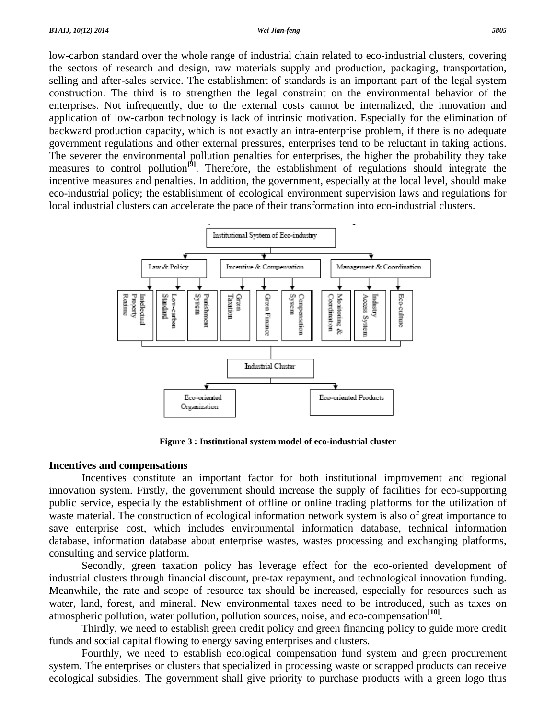low-carbon standard over the whole range of industrial chain related to eco-industrial clusters, covering the sectors of research and design, raw materials supply and production, packaging, transportation, selling and after-sales service. The establishment of standards is an important part of the legal system construction. The third is to strengthen the legal constraint on the environmental behavior of the enterprises. Not infrequently, due to the external costs cannot be internalized, the innovation and application of low-carbon technology is lack of intrinsic motivation. Especially for the elimination of backward production capacity, which is not exactly an intra-enterprise problem, if there is no adequate government regulations and other external pressures, enterprises tend to be reluctant in taking actions. The severer the environmental pollution penalties for enterprises, the higher the probability they take measures to control pollution<sup>[9]</sup>. Therefore, the establishment of regulations should integrate the incentive measures and penalties. In addition, the government, especially at the local level, should make eco-industrial policy; the establishment of ecological environment supervision laws and regulations for local industrial clusters can accelerate the pace of their transformation into eco-industrial clusters.



**Figure 3 : Institutional system model of eco-industrial cluster** 

### **Incentives and compensations**

 Incentives constitute an important factor for both institutional improvement and regional innovation system. Firstly, the government should increase the supply of facilities for eco-supporting public service, especially the establishment of offline or online trading platforms for the utilization of waste material. The construction of ecological information network system is also of great importance to save enterprise cost, which includes environmental information database, technical information database, information database about enterprise wastes, wastes processing and exchanging platforms, consulting and service platform.

 Secondly, green taxation policy has leverage effect for the eco-oriented development of industrial clusters through financial discount, pre-tax repayment, and technological innovation funding. Meanwhile, the rate and scope of resource tax should be increased, especially for resources such as water, land, forest, and mineral. New environmental taxes need to be introduced, such as taxes on atmospheric pollution, water pollution, pollution sources, noise, and eco-compensation**[10]**.

 Thirdly, we need to establish green credit policy and green financing policy to guide more credit funds and social capital flowing to energy saving enterprises and clusters.

 Fourthly, we need to establish ecological compensation fund system and green procurement system. The enterprises or clusters that specialized in processing waste or scrapped products can receive ecological subsidies. The government shall give priority to purchase products with a green logo thus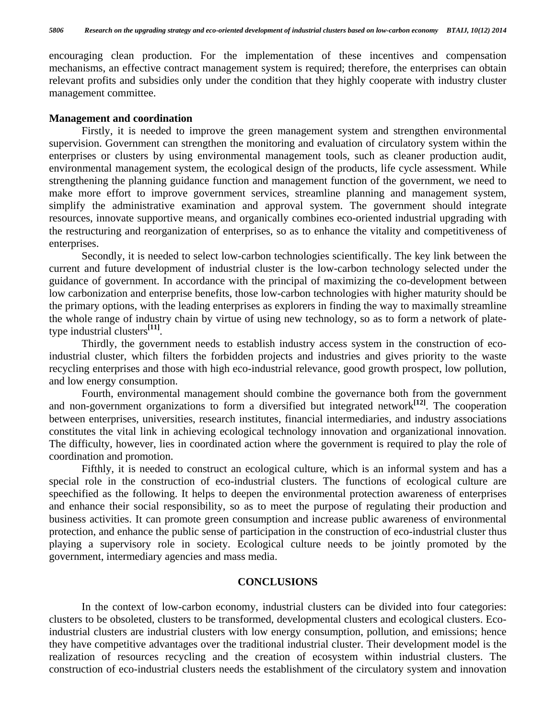encouraging clean production. For the implementation of these incentives and compensation mechanisms, an effective contract management system is required; therefore, the enterprises can obtain relevant profits and subsidies only under the condition that they highly cooperate with industry cluster management committee.

#### **Management and coordination**

 Firstly, it is needed to improve the green management system and strengthen environmental supervision. Government can strengthen the monitoring and evaluation of circulatory system within the enterprises or clusters by using environmental management tools, such as cleaner production audit, environmental management system, the ecological design of the products, life cycle assessment. While strengthening the planning guidance function and management function of the government, we need to make more effort to improve government services, streamline planning and management system, simplify the administrative examination and approval system. The government should integrate resources, innovate supportive means, and organically combines eco-oriented industrial upgrading with the restructuring and reorganization of enterprises, so as to enhance the vitality and competitiveness of enterprises.

 Secondly, it is needed to select low-carbon technologies scientifically. The key link between the current and future development of industrial cluster is the low-carbon technology selected under the guidance of government. In accordance with the principal of maximizing the co-development between low carbonization and enterprise benefits, those low-carbon technologies with higher maturity should be the primary options, with the leading enterprises as explorers in finding the way to maximally streamline the whole range of industry chain by virtue of using new technology, so as to form a network of platetype industrial clusters**[11]**.

 Thirdly, the government needs to establish industry access system in the construction of ecoindustrial cluster, which filters the forbidden projects and industries and gives priority to the waste recycling enterprises and those with high eco-industrial relevance, good growth prospect, low pollution, and low energy consumption.

 Fourth, environmental management should combine the governance both from the government and non-government organizations to form a diversified but integrated network**[12]**. The cooperation between enterprises, universities, research institutes, financial intermediaries, and industry associations constitutes the vital link in achieving ecological technology innovation and organizational innovation. The difficulty, however, lies in coordinated action where the government is required to play the role of coordination and promotion.

 Fifthly, it is needed to construct an ecological culture, which is an informal system and has a special role in the construction of eco-industrial clusters. The functions of ecological culture are speechified as the following. It helps to deepen the environmental protection awareness of enterprises and enhance their social responsibility, so as to meet the purpose of regulating their production and business activities. It can promote green consumption and increase public awareness of environmental protection, and enhance the public sense of participation in the construction of eco-industrial cluster thus playing a supervisory role in society. Ecological culture needs to be jointly promoted by the government, intermediary agencies and mass media.

## **CONCLUSIONS**

 In the context of low-carbon economy, industrial clusters can be divided into four categories: clusters to be obsoleted, clusters to be transformed, developmental clusters and ecological clusters. Ecoindustrial clusters are industrial clusters with low energy consumption, pollution, and emissions; hence they have competitive advantages over the traditional industrial cluster. Their development model is the realization of resources recycling and the creation of ecosystem within industrial clusters. The construction of eco-industrial clusters needs the establishment of the circulatory system and innovation